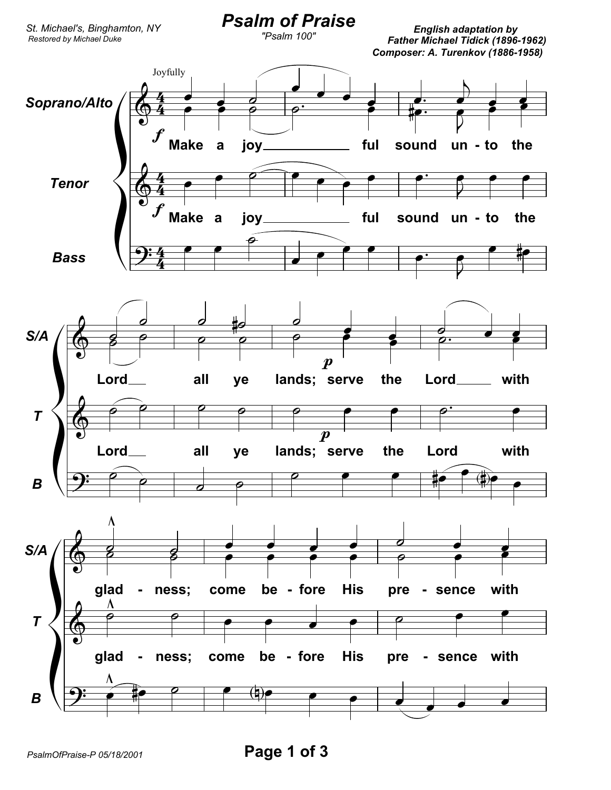

PsalmOfPraise-P 05/18/2001

Page 1 of 3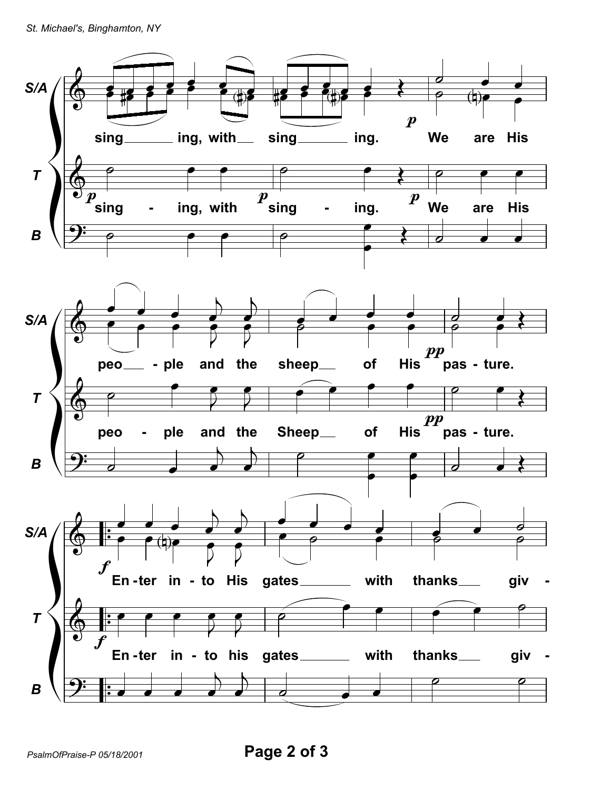